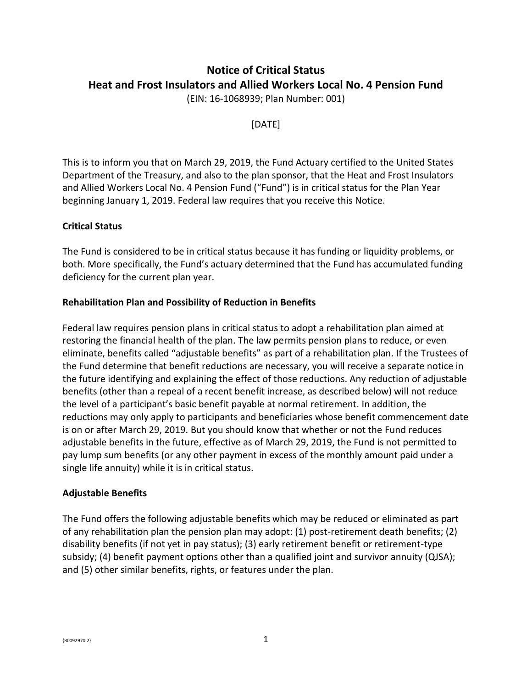# **Notice of Critical Status Heat and Frost Insulators and Allied Workers Local No. 4 Pension Fund**

(EIN: 16-1068939; Plan Number: 001)

[DATE]

This is to inform you that on March 29, 2019, the Fund Actuary certified to the United States Department of the Treasury, and also to the plan sponsor, that the Heat and Frost Insulators and Allied Workers Local No. 4 Pension Fund ("Fund") is in critical status for the Plan Year beginning January 1, 2019. Federal law requires that you receive this Notice.

## **Critical Status**

The Fund is considered to be in critical status because it has funding or liquidity problems, or both. More specifically, the Fund's actuary determined that the Fund has accumulated funding deficiency for the current plan year.

### **Rehabilitation Plan and Possibility of Reduction in Benefits**

Federal law requires pension plans in critical status to adopt a rehabilitation plan aimed at restoring the financial health of the plan. The law permits pension plans to reduce, or even eliminate, benefits called "adjustable benefits" as part of a rehabilitation plan. If the Trustees of the Fund determine that benefit reductions are necessary, you will receive a separate notice in the future identifying and explaining the effect of those reductions. Any reduction of adjustable benefits (other than a repeal of a recent benefit increase, as described below) will not reduce the level of a participant's basic benefit payable at normal retirement. In addition, the reductions may only apply to participants and beneficiaries whose benefit commencement date is on or after March 29, 2019. But you should know that whether or not the Fund reduces adjustable benefits in the future, effective as of March 29, 2019, the Fund is not permitted to pay lump sum benefits (or any other payment in excess of the monthly amount paid under a single life annuity) while it is in critical status.

#### **Adjustable Benefits**

The Fund offers the following adjustable benefits which may be reduced or eliminated as part of any rehabilitation plan the pension plan may adopt: (1) post-retirement death benefits; (2) disability benefits (if not yet in pay status); (3) early retirement benefit or retirement-type subsidy; (4) benefit payment options other than a qualified joint and survivor annuity (QJSA); and (5) other similar benefits, rights, or features under the plan.